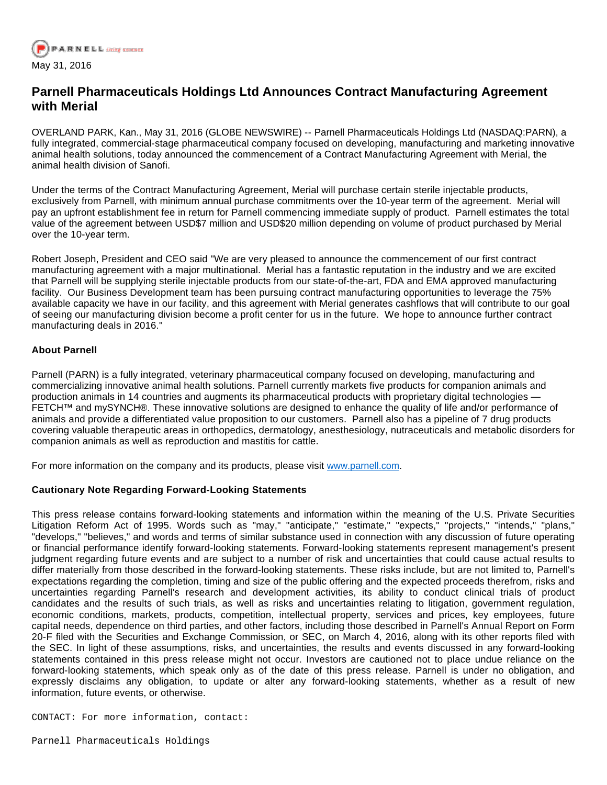

## **Parnell Pharmaceuticals Holdings Ltd Announces Contract Manufacturing Agreement with Merial**

OVERLAND PARK, Kan., May 31, 2016 (GLOBE NEWSWIRE) -- Parnell Pharmaceuticals Holdings Ltd (NASDAQ:PARN), a fully integrated, commercial-stage pharmaceutical company focused on developing, manufacturing and marketing innovative animal health solutions, today announced the commencement of a Contract Manufacturing Agreement with Merial, the animal health division of Sanofi.

Under the terms of the Contract Manufacturing Agreement, Merial will purchase certain sterile injectable products, exclusively from Parnell, with minimum annual purchase commitments over the 10-year term of the agreement. Merial will pay an upfront establishment fee in return for Parnell commencing immediate supply of product. Parnell estimates the total value of the agreement between USD\$7 million and USD\$20 million depending on volume of product purchased by Merial over the 10-year term.

Robert Joseph, President and CEO said "We are very pleased to announce the commencement of our first contract manufacturing agreement with a major multinational. Merial has a fantastic reputation in the industry and we are excited that Parnell will be supplying sterile injectable products from our state-of-the-art, FDA and EMA approved manufacturing facility. Our Business Development team has been pursuing contract manufacturing opportunities to leverage the 75% available capacity we have in our facility, and this agreement with Merial generates cashflows that will contribute to our goal of seeing our manufacturing division become a profit center for us in the future. We hope to announce further contract manufacturing deals in 2016."

## **About Parnell**

Parnell (PARN) is a fully integrated, veterinary pharmaceutical company focused on developing, manufacturing and commercializing innovative animal health solutions. Parnell currently markets five products for companion animals and production animals in 14 countries and augments its pharmaceutical products with proprietary digital technologies — FETCH™ and mySYNCH®. These innovative solutions are designed to enhance the quality of life and/or performance of animals and provide a differentiated value proposition to our customers. Parnell also has a pipeline of 7 drug products covering valuable therapeutic areas in orthopedics, dermatology, anesthesiology, nutraceuticals and metabolic disorders for companion animals as well as reproduction and mastitis for cattle.

For more information on the company and its products, please visit [www.parnell.com.](http://www.globenewswire.com/Tracker?data=XzQ-yKtW2y2QSnMs-FUpixr4JcqPVq-u87um2_v3Kv8_pC_vFnX06PLOCWkDgOLsAfeFJX50AY9Q8GtPKk1QlA==)

## **Cautionary Note Regarding Forward-Looking Statements**

This press release contains forward-looking statements and information within the meaning of the U.S. Private Securities Litigation Reform Act of 1995. Words such as "may," "anticipate," "estimate," "expects," "projects," "intends," "plans," "develops," "believes," and words and terms of similar substance used in connection with any discussion of future operating or financial performance identify forward-looking statements. Forward-looking statements represent management's present judgment regarding future events and are subject to a number of risk and uncertainties that could cause actual results to differ materially from those described in the forward-looking statements. These risks include, but are not limited to, Parnell's expectations regarding the completion, timing and size of the public offering and the expected proceeds therefrom, risks and uncertainties regarding Parnell's research and development activities, its ability to conduct clinical trials of product candidates and the results of such trials, as well as risks and uncertainties relating to litigation, government regulation, economic conditions, markets, products, competition, intellectual property, services and prices, key employees, future capital needs, dependence on third parties, and other factors, including those described in Parnell's Annual Report on Form 20-F filed with the Securities and Exchange Commission, or SEC, on March 4, 2016, along with its other reports filed with the SEC. In light of these assumptions, risks, and uncertainties, the results and events discussed in any forward-looking statements contained in this press release might not occur. Investors are cautioned not to place undue reliance on the forward-looking statements, which speak only as of the date of this press release. Parnell is under no obligation, and expressly disclaims any obligation, to update or alter any forward-looking statements, whether as a result of new information, future events, or otherwise.

CONTACT: For more information, contact: